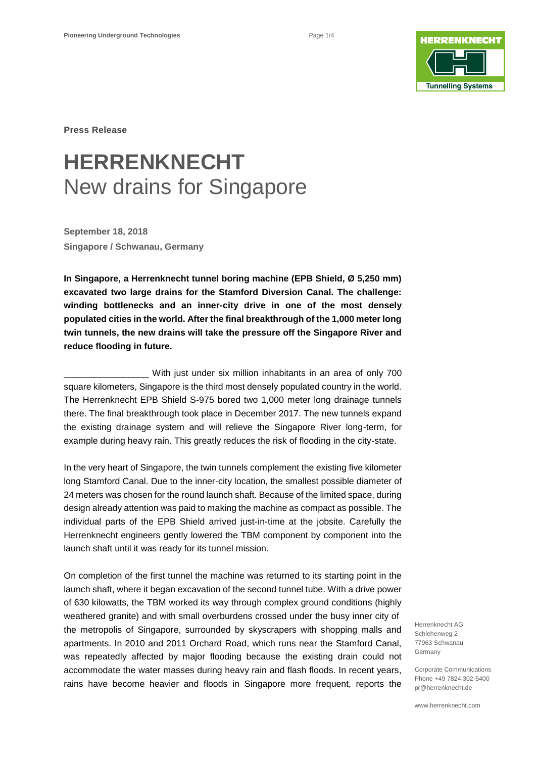

**Press Release**

## **HERRENKNECHT** New drains for Singapore

**September 18, 2018 Singapore / Schwanau, Germany**

**In Singapore, a Herrenknecht tunnel boring machine (EPB Shield, Ø 5,250 mm) excavated two large drains for the Stamford Diversion Canal. The challenge: winding bottlenecks and an inner-city drive in one of the most densely populated cities in the world. After the final breakthrough of the 1,000 meter long twin tunnels, the new drains will take the pressure off the Singapore River and reduce flooding in future.**

With just under six million inhabitants in an area of only 700 square kilometers, Singapore is the third most densely populated country in the world. The Herrenknecht EPB Shield S-975 bored two 1,000 meter long drainage tunnels there. The final breakthrough took place in December 2017. The new tunnels expand the existing drainage system and will relieve the Singapore River long-term, for example during heavy rain. This greatly reduces the risk of flooding in the city-state.

In the very heart of Singapore, the twin tunnels complement the existing five kilometer long Stamford Canal. Due to the inner-city location, the smallest possible diameter of 24 meters was chosen for the round launch shaft. Because of the limited space, during design already attention was paid to making the machine as compact as possible. The individual parts of the EPB Shield arrived just-in-time at the jobsite. Carefully the Herrenknecht engineers gently lowered the TBM component by component into the launch shaft until it was ready for its tunnel mission.

On completion of the first tunnel the machine was returned to its starting point in the launch shaft, where it began excavation of the second tunnel tube. With a drive power of 630 kilowatts, the TBM worked its way through complex ground conditions (highly weathered granite) and with small overburdens crossed under the busy inner city of the metropolis of Singapore, surrounded by skyscrapers with shopping malls and apartments. In 2010 and 2011 Orchard Road, which runs near the Stamford Canal, was repeatedly affected by major flooding because the existing drain could not accommodate the water masses during heavy rain and flash floods. In recent years, rains have become heavier and floods in Singapore more frequent, reports the

Herrenknecht AG Schlehenweg 2 77963 Schwanau Germany

Corporate Communications Phone +49 7824 302-5400 pr@herrenknecht.de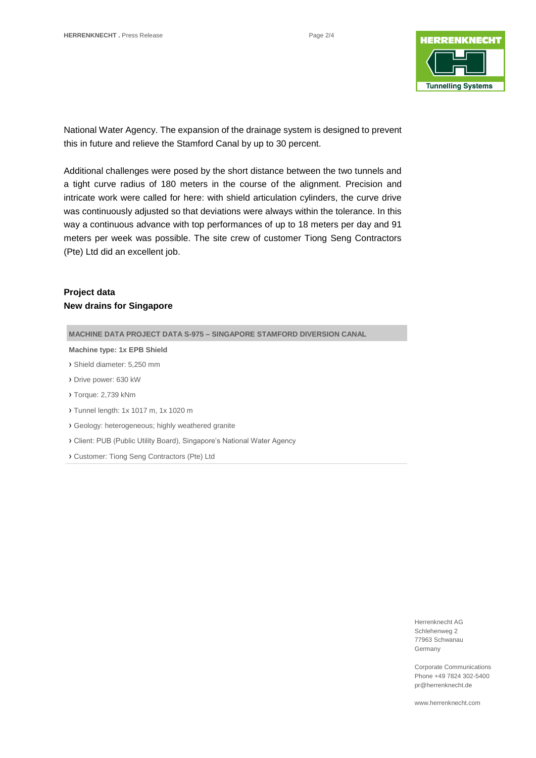

National Water Agency. The expansion of the drainage system is designed to prevent this in future and relieve the Stamford Canal by up to 30 percent.

Additional challenges were posed by the short distance between the two tunnels and a tight curve radius of 180 meters in the course of the alignment. Precision and intricate work were called for here: with shield articulation cylinders, the curve drive was continuously adjusted so that deviations were always within the tolerance. In this way a continuous advance with top performances of up to 18 meters per day and 91 meters per week was possible. The site crew of customer Tiong Seng Contractors (Pte) Ltd did an excellent job.

### **Project data New drains for Singapore**

**MACHINE DATA PROJECT DATA S-975 – SINGAPORE STAMFORD DIVERSION CANAL** 

**Machine type: 1x EPB Shield**

- › Shield diameter: 5,250 mm
- › Drive power: 630 kW
- › Torque: 2,739 kNm
- › Tunnel length: 1x 1017 m, 1x 1020 m
- › Geology: heterogeneous; highly weathered granite
- › Client: PUB (Public Utility Board), Singapore's National Water Agency
- › Customer: Tiong Seng Contractors (Pte) Ltd

Herrenknecht AG Schlehenweg 2 77963 Schwanau Germany

Corporate Communications Phone +49 7824 302-5400 pr@herrenknecht.de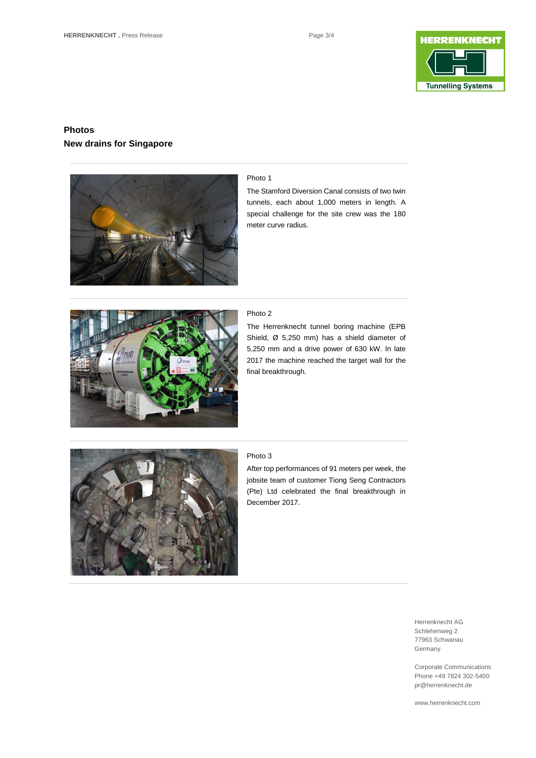

## **Photos New drains for Singapore**



#### Photo 1

The Stamford Diversion Canal consists of two twin tunnels, each about 1,000 meters in length. A special challenge for the site crew was the 180 meter curve radius.



#### Photo 2

The Herrenknecht tunnel boring machine (EPB Shield, Ø 5,250 mm) has a shield diameter of 5,250 mm and a drive power of 630 kW. In late 2017 the machine reached the target wall for the final breakthrough.



#### Photo 3

After top performances of 91 meters per week, the jobsite team of customer Tiong Seng Contractors (Pte) Ltd celebrated the final breakthrough in December 2017.

> Herrenknecht AG Schlehenweg 2 77963 Schwanau Germany

Corporate Communications Phone +49 7824 302-5400 pr@herrenknecht.de